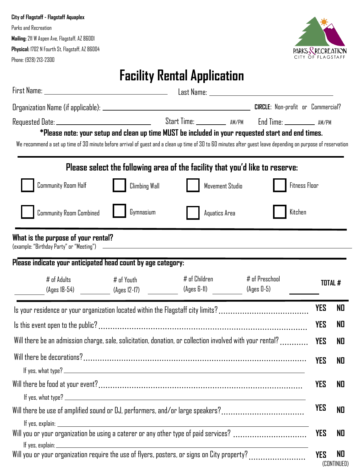#### **City of Flagstaff - Flagstaff Aquaplex**

Parks and Recreation **Mailing:**211 W Aspen Ave, Flagstaff, AZ 86001 **Physical:** 1702 N Fourth St, Flagstaff, AZ 86004 Phone: (928) 213-2300



## **Facility Rental Application**

| We recommend a set up time of 30 minute before arrival of guest and a clean up time of 30 to 60 minutes after guest leave depending on purpose of reservation |                                                                                                           |                                | *Please note: your setup and clean up time MUST be included in your requested start and end times. |            |                   |
|---------------------------------------------------------------------------------------------------------------------------------------------------------------|-----------------------------------------------------------------------------------------------------------|--------------------------------|----------------------------------------------------------------------------------------------------|------------|-------------------|
|                                                                                                                                                               |                                                                                                           |                                | Please select the following area of the facility that you'd like to reserve:                       |            |                   |
| <b>Community Room Half</b>                                                                                                                                    | Climbing Wall                                                                                             | Movement Studio                | Fitness Floor                                                                                      |            |                   |
| Community Room Combined                                                                                                                                       | Gymnasium                                                                                                 | Aquatics Area                  | Kitchen                                                                                            |            |                   |
| What is the purpose of your rental?                                                                                                                           |                                                                                                           |                                |                                                                                                    |            |                   |
| Please indicate your anticipated head count by age category:                                                                                                  |                                                                                                           |                                |                                                                                                    |            |                   |
| $#$ of Adults<br>(Ages 18-54) ___________ (Ages 12-17) ____________                                                                                           | # of Youth                                                                                                | # of Children<br>$(Ages 6-11)$ | # of Preschool<br>(Ages 0-5)                                                                       |            | <b>TOTAL #</b>    |
| Is your residence or your organization located within the Flagstaff city limits?                                                                              |                                                                                                           |                                |                                                                                                    | <b>YES</b> | ND                |
|                                                                                                                                                               |                                                                                                           |                                |                                                                                                    | YES        | NO                |
|                                                                                                                                                               | Will there be an admission charge, sale, solicitation, donation, or collection involved with your rental? |                                |                                                                                                    | <b>YES</b> | NO                |
|                                                                                                                                                               |                                                                                                           |                                | YES                                                                                                | NO.        |                   |
|                                                                                                                                                               |                                                                                                           |                                |                                                                                                    | <b>YES</b> | NO                |
| Will there be use of amplified sound or DJ, performers, and/or large speakers?                                                                                |                                                                                                           |                                | <b>YES</b>                                                                                         | <b>NO</b>  |                   |
| Will you or your organization be using a caterer or any other type of paid services?                                                                          |                                                                                                           |                                |                                                                                                    | <b>YES</b> | NO                |
| Will you or your organization require the use of flyers, posters, or signs on City property?                                                                  |                                                                                                           |                                |                                                                                                    | <b>YES</b> | N0<br>(CONTINUED) |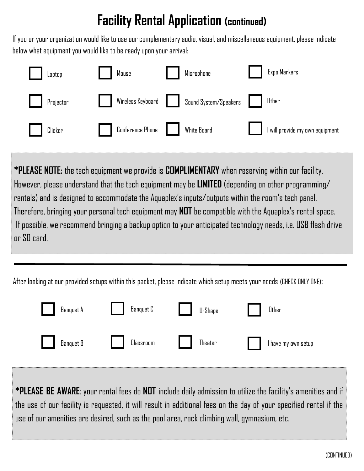# **Facility Rental Application (continued)**

If you or your organization would like to use our complementary audio, visual, and miscellaneous equipment, please indicate below what equipment you would like to be ready upon your arrival:

| Laptop    | Mouse                   | Microphone            | Expo Markers                  |
|-----------|-------------------------|-----------------------|-------------------------------|
| Projector | Wireless Keyboard       | Sound System/Speakers | Other                         |
| Clicker   | <b>Conference Phone</b> | White Board           | will provide my own equipment |

**\*PLEASE NOTE:** the tech equipment we provide is **COMPLIMENTARY** when reserving within our facility. However, please understand that the tech equipment may be **LIMITED** (depending on other programming/ rentals) and is designed to accommodate the Aquaplex's inputs/outputs within the room's tech panel. Therefore, bringing your personal tech equipment may **NOT** be compatible with the Aquaplex's rental space. If possible, we recommend bringing a backup option to your anticipated technology needs, i.e. USB flash drive or SD card.

After looking at our provided setups within this packet, please indicate which setup meets your needs (CHECK ONLY ONE):



**\*PLEASE BE AWARE**: your rental fees do **NOT** include daily admission to utilize the facility's amenities and if the use of our facility is requested, it will result in additional fees on the day of your specified rental if the use of our amenities are desired, such as the pool area, rock climbing wall, gymnasium, etc.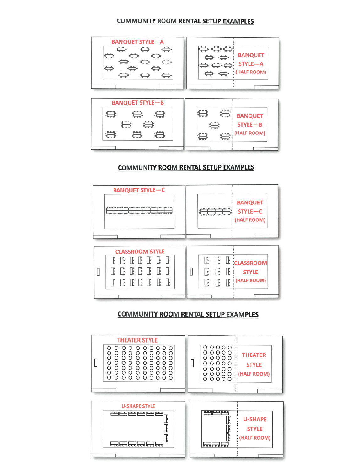#### **COMMUNITY ROOM RENTAL SETUP EXAMPLES**



#### COMMUNITY ROOM RENTAL SETUP EXAMPLES



#### **COMMUNITY ROOM RENTAL SETUP EXAMPLES**

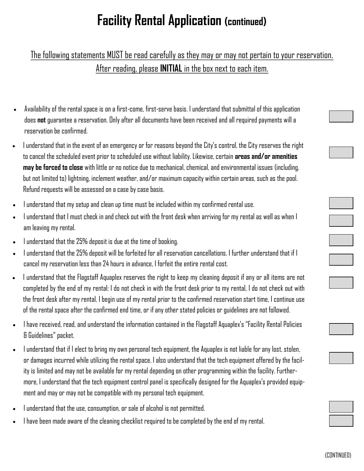# **Facility Rental Application (continued)**

### The following statements MUST be read carefully as they may or may not pertain to your reservation. After reading, please **INITIAL** in the box next to each item.

- Availability of the rental space is on a first-come, first-serve basis. I understand that submittal of this application does **not** guarantee a reservation. Only after all documents have been received and all required payments will a reservation be confirmed.
- I understand that in the event of an emergency or for reasons beyond the City's control, the City reserves the right to cancel the scheduled event prior to scheduled use without liability. Likewise, certain **areas and/or amenities may be forced to close** with little or no notice due to mechanical, chemical, and environmental issues (including, but not limited to) lightning, inclement weather, and/or maximum capacity within certain areas, such as the pool. Refund requests will be assessed on a case by case basis.
- I understand that my setup and clean up time must be included within my confirmed rental use.
- I understand that I must check in and check out with the front desk when arriving for my rental as well as when I am leaving my rental.
- I understand that the 25% deposit is due at the time of booking.
- I understand that the 25% deposit will be forfeited for all reservation cancellations. I further understand that if I cancel my reservation less than 24 hours in advance, I forfeit the entire rental cost.
- I understand that the Flagstaff Aquaplex reserves the right to keep my cleaning deposit if any or all items are not completed by the end of my rental: I do not check in with the front desk prior to my rental, I do not check out with the front desk after my rental, I begin use of my rental prior to the confirmed reservation start time, I continue use of the rental space after the confirmed end time, or if any other stated policies or guidelines are not followed.
- I have received, read, and understand the information contained in the Flagstaff Aquaplex's "Facility Rental Policies & Guidelines" packet.
- I understand that if I elect to bring my own personal tech equipment, the Aquaplex is not liable for any lost, stolen, or damages incurred while utilizing the rental space. I also understand that the tech equipment offered by the facility is limited and may not be available for my rental depending on other programming within the facility. Furthermore, I understand that the tech equipment control panel is specifically designed for the Aquaplex's provided equipment and may or may not be compatible with my personal tech equipment.
- I understand that the use, consumption, or sale of alcohol is not permitted.
- I have been made aware of the cleaning checklist required to be completed by the end of my rental.